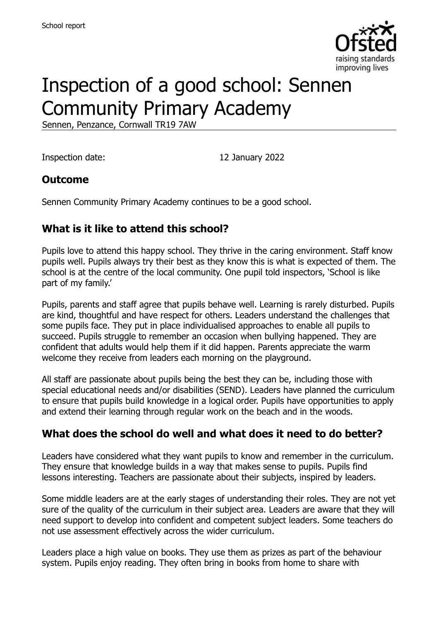

# Inspection of a good school: Sennen Community Primary Academy

Sennen, Penzance, Cornwall TR19 7AW

Inspection date: 12 January 2022

## **Outcome**

Sennen Community Primary Academy continues to be a good school.

## **What is it like to attend this school?**

Pupils love to attend this happy school. They thrive in the caring environment. Staff know pupils well. Pupils always try their best as they know this is what is expected of them. The school is at the centre of the local community. One pupil told inspectors, 'School is like part of my family.'

Pupils, parents and staff agree that pupils behave well. Learning is rarely disturbed. Pupils are kind, thoughtful and have respect for others. Leaders understand the challenges that some pupils face. They put in place individualised approaches to enable all pupils to succeed. Pupils struggle to remember an occasion when bullying happened. They are confident that adults would help them if it did happen. Parents appreciate the warm welcome they receive from leaders each morning on the playground.

All staff are passionate about pupils being the best they can be, including those with special educational needs and/or disabilities (SEND). Leaders have planned the curriculum to ensure that pupils build knowledge in a logical order. Pupils have opportunities to apply and extend their learning through regular work on the beach and in the woods.

## **What does the school do well and what does it need to do better?**

Leaders have considered what they want pupils to know and remember in the curriculum. They ensure that knowledge builds in a way that makes sense to pupils. Pupils find lessons interesting. Teachers are passionate about their subjects, inspired by leaders.

Some middle leaders are at the early stages of understanding their roles. They are not yet sure of the quality of the curriculum in their subject area. Leaders are aware that they will need support to develop into confident and competent subject leaders. Some teachers do not use assessment effectively across the wider curriculum.

Leaders place a high value on books. They use them as prizes as part of the behaviour system. Pupils enjoy reading. They often bring in books from home to share with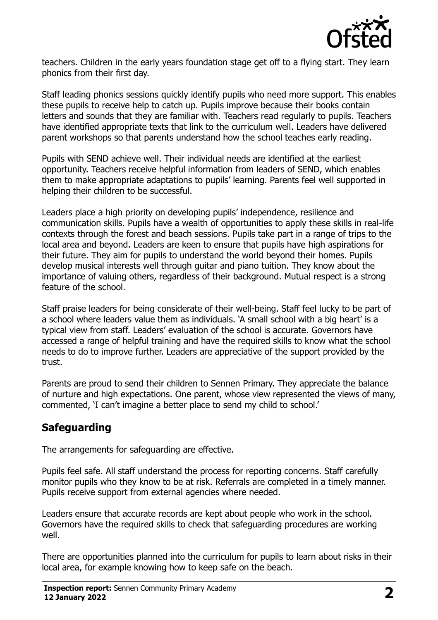

teachers. Children in the early years foundation stage get off to a flying start. They learn phonics from their first day.

Staff leading phonics sessions quickly identify pupils who need more support. This enables these pupils to receive help to catch up. Pupils improve because their books contain letters and sounds that they are familiar with. Teachers read regularly to pupils. Teachers have identified appropriate texts that link to the curriculum well. Leaders have delivered parent workshops so that parents understand how the school teaches early reading.

Pupils with SEND achieve well. Their individual needs are identified at the earliest opportunity. Teachers receive helpful information from leaders of SEND, which enables them to make appropriate adaptations to pupils' learning. Parents feel well supported in helping their children to be successful.

Leaders place a high priority on developing pupils' independence, resilience and communication skills. Pupils have a wealth of opportunities to apply these skills in real-life contexts through the forest and beach sessions. Pupils take part in a range of trips to the local area and beyond. Leaders are keen to ensure that pupils have high aspirations for their future. They aim for pupils to understand the world beyond their homes. Pupils develop musical interests well through guitar and piano tuition. They know about the importance of valuing others, regardless of their background. Mutual respect is a strong feature of the school.

Staff praise leaders for being considerate of their well-being. Staff feel lucky to be part of a school where leaders value them as individuals. 'A small school with a big heart' is a typical view from staff. Leaders' evaluation of the school is accurate. Governors have accessed a range of helpful training and have the required skills to know what the school needs to do to improve further. Leaders are appreciative of the support provided by the trust.

Parents are proud to send their children to Sennen Primary. They appreciate the balance of nurture and high expectations. One parent, whose view represented the views of many, commented, 'I can't imagine a better place to send my child to school.'

## **Safeguarding**

The arrangements for safeguarding are effective.

Pupils feel safe. All staff understand the process for reporting concerns. Staff carefully monitor pupils who they know to be at risk. Referrals are completed in a timely manner. Pupils receive support from external agencies where needed.

Leaders ensure that accurate records are kept about people who work in the school. Governors have the required skills to check that safeguarding procedures are working well.

There are opportunities planned into the curriculum for pupils to learn about risks in their local area, for example knowing how to keep safe on the beach.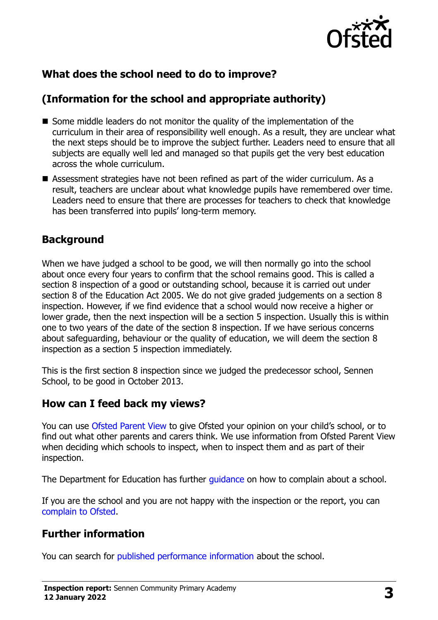

## **What does the school need to do to improve?**

## **(Information for the school and appropriate authority)**

- Some middle leaders do not monitor the quality of the implementation of the curriculum in their area of responsibility well enough. As a result, they are unclear what the next steps should be to improve the subject further. Leaders need to ensure that all subjects are equally well led and managed so that pupils get the very best education across the whole curriculum.
- Assessment strategies have not been refined as part of the wider curriculum. As a result, teachers are unclear about what knowledge pupils have remembered over time. Leaders need to ensure that there are processes for teachers to check that knowledge has been transferred into pupils' long-term memory.

### **Background**

When we have judged a school to be good, we will then normally go into the school about once every four years to confirm that the school remains good. This is called a section 8 inspection of a good or outstanding school, because it is carried out under section 8 of the Education Act 2005. We do not give graded judgements on a section 8 inspection. However, if we find evidence that a school would now receive a higher or lower grade, then the next inspection will be a section 5 inspection. Usually this is within one to two years of the date of the section 8 inspection. If we have serious concerns about safeguarding, behaviour or the quality of education, we will deem the section 8 inspection as a section 5 inspection immediately.

This is the first section 8 inspection since we judged the predecessor school, Sennen School, to be good in October 2013.

## **How can I feed back my views?**

You can use [Ofsted Parent View](https://parentview.ofsted.gov.uk/) to give Ofsted your opinion on your child's school, or to find out what other parents and carers think. We use information from Ofsted Parent View when deciding which schools to inspect, when to inspect them and as part of their inspection.

The Department for Education has further quidance on how to complain about a school.

If you are the school and you are not happy with the inspection or the report, you can [complain to Ofsted.](https://www.gov.uk/complain-ofsted-report)

## **Further information**

You can search for [published performance information](http://www.compare-school-performance.service.gov.uk/) about the school.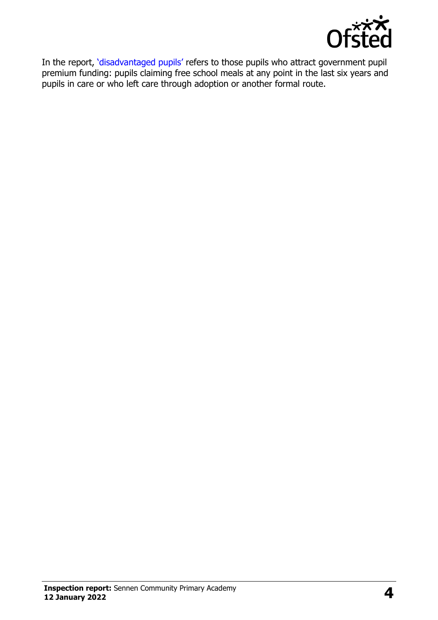

In the report, '[disadvantaged pupils](http://www.gov.uk/guidance/pupil-premium-information-for-schools-and-alternative-provision-settings)' refers to those pupils who attract government pupil premium funding: pupils claiming free school meals at any point in the last six years and pupils in care or who left care through adoption or another formal route.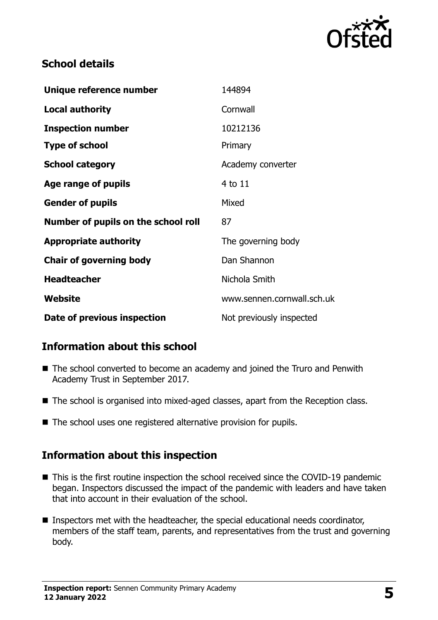

## **School details**

| Unique reference number             | 144894                     |
|-------------------------------------|----------------------------|
| <b>Local authority</b>              | Cornwall                   |
| <b>Inspection number</b>            | 10212136                   |
| <b>Type of school</b>               | Primary                    |
| <b>School category</b>              | Academy converter          |
| Age range of pupils                 | 4 to 11                    |
| <b>Gender of pupils</b>             | Mixed                      |
| Number of pupils on the school roll | 87                         |
| <b>Appropriate authority</b>        | The governing body         |
| <b>Chair of governing body</b>      | Dan Shannon                |
| <b>Headteacher</b>                  | Nichola Smith              |
| Website                             | www.sennen.cornwall.sch.uk |
| Date of previous inspection         | Not previously inspected   |

## **Information about this school**

- The school converted to become an academy and joined the Truro and Penwith Academy Trust in September 2017.
- The school is organised into mixed-aged classes, apart from the Reception class.
- The school uses one registered alternative provision for pupils.

## **Information about this inspection**

- This is the first routine inspection the school received since the COVID-19 pandemic began. Inspectors discussed the impact of the pandemic with leaders and have taken that into account in their evaluation of the school.
- Inspectors met with the headteacher, the special educational needs coordinator, members of the staff team, parents, and representatives from the trust and governing body.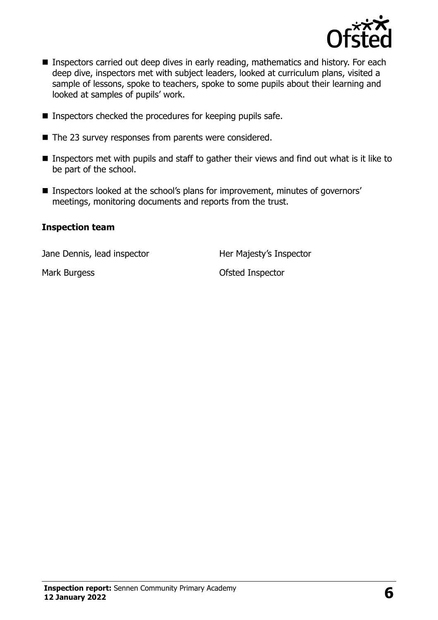

- **Inspectors carried out deep dives in early reading, mathematics and history. For each** deep dive, inspectors met with subject leaders, looked at curriculum plans, visited a sample of lessons, spoke to teachers, spoke to some pupils about their learning and looked at samples of pupils' work.
- $\blacksquare$  Inspectors checked the procedures for keeping pupils safe.
- The 23 survey responses from parents were considered.
- Inspectors met with pupils and staff to gather their views and find out what is it like to be part of the school.
- Inspectors looked at the school's plans for improvement, minutes of governors' meetings, monitoring documents and reports from the trust.

#### **Inspection team**

Jane Dennis, lead inspector **Her Majesty's Inspector** 

Mark Burgess **Mark Burgess Contract Account Account Contract Ofsted Inspector**